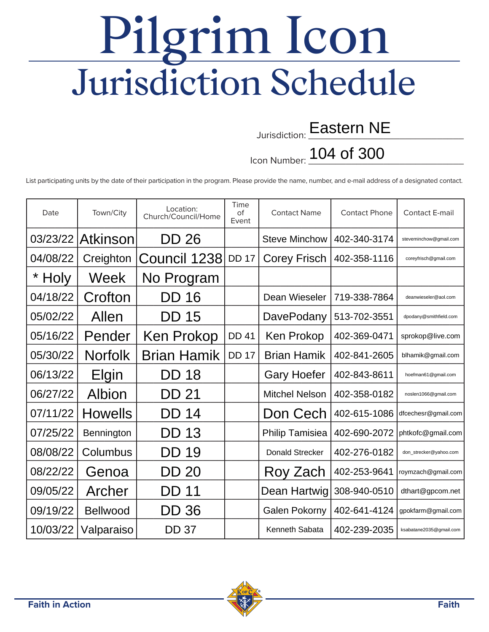## Pilgrim Icon Jurisdiction Schedule

## Jurisdiction: **Eastern NE**

Icon Number: <mark>104 of 300</mark>

List participating units by the date of their participation in the program. Please provide the name, number, and e-mail address of a designated contact.

| Date     | Town/City       | Location:<br>Church/Council/Home | Time<br>Ωf<br>Event | <b>Contact Name</b>    | <b>Contact Phone</b> | <b>Contact E-mail</b>   |
|----------|-----------------|----------------------------------|---------------------|------------------------|----------------------|-------------------------|
| 03/23/22 | <b>Atkinson</b> | <b>DD 26</b>                     |                     | <b>Steve Minchow</b>   | 402-340-3174         | steveminchow@gmail.com  |
| 04/08/22 | Creighton       | Council 1238                     | <b>DD 17</b>        | <b>Corey Frisch</b>    | 402-358-1116         | coreyfrisch@gmail.com   |
| * Holy   | Week            | No Program                       |                     |                        |                      |                         |
| 04/18/22 | Crofton         | DD 16                            |                     | Dean Wieseler          | 719-338-7864         | deanwieseler@aol.com    |
| 05/02/22 | Allen           | <b>DD 15</b>                     |                     | <b>DavePodany</b>      | 513-702-3551         | dpodany@smithfield.com  |
| 05/16/22 | Pender          | <b>Ken Prokop</b>                | <b>DD 41</b>        | Ken Prokop             | 402-369-0471         | sprokop@live.com        |
| 05/30/22 | <b>Norfolk</b>  | <b>Brian Hamik</b>               | <b>DD 17</b>        | <b>Brian Hamik</b>     | 402-841-2605         | blhamik@gmail.com       |
| 06/13/22 | <b>Elgin</b>    | DD 18                            |                     | <b>Gary Hoefer</b>     | 402-843-8611         | hoefman61@gmail.com     |
| 06/27/22 | Albion          | DD 21                            |                     | <b>Mitchel Nelson</b>  | 402-358-0182         | noslen1066@gmail.com    |
| 07/11/22 | <b>Howells</b>  | DD 14                            |                     | Don Cech               | 402-615-1086         | dfcechesr@gmail.com     |
| 07/25/22 | Bennington      | DD 13                            |                     | <b>Philip Tamisiea</b> | 402-690-2072         | phtkofc@gmail.com       |
| 08/08/22 | Columbus        | <b>DD 19</b>                     |                     | <b>Donald Strecker</b> | 402-276-0182         | don_strecker@yahoo.com  |
| 08/22/22 | Genoa           | <b>DD 20</b>                     |                     | Roy Zach               | 402-253-9641         | roymzach@gmail.com      |
| 09/05/22 | Archer          | DD 11                            |                     | Dean Hartwig           | 308-940-0510         | dthart@gpcom.net        |
| 09/19/22 | <b>Bellwood</b> | DD 36                            |                     | <b>Galen Pokorny</b>   | 402-641-4124         | gpokfarm@gmail.com      |
| 10/03/22 | Valparaiso      | <b>DD 37</b>                     |                     | Kenneth Sabata         | 402-239-2035         | ksabatane2035@gmail.com |